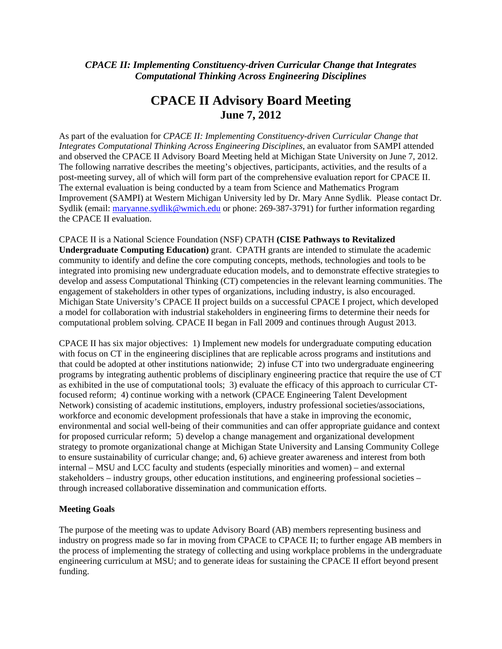# Appendix III

# *CPACE II: Implementing Constituency-driven Curricular Change that Integrates Computational Thinking Across Engineering Disciplines*

# **CPACE II Advisory Board Meeting June 7, 2012**

As part of the evaluation for *CPACE II: Implementing Constituency-driven Curricular Change that Integrates Computational Thinking Across Engineering Disciplines*, an evaluator from SAMPI attended and observed the CPACE II Advisory Board Meeting held at Michigan State University on June 7, 2012. The following narrative describes the meeting's objectives, participants, activities, and the results of a post-meeting survey, all of which will form part of the comprehensive evaluation report for CPACE II. The external evaluation is being conducted by a team from Science and Mathematics Program Improvement (SAMPI) at Western Michigan University led by Dr. Mary Anne Sydlik. Please contact Dr. Sydlik (email: maryanne.sydlik@wmich.edu or phone: 269-387-3791) for further information regarding the CPACE II evaluation.

CPACE II is a National Science Foundation (NSF) CPATH **(CISE Pathways to Revitalized Undergraduate Computing Education)** grant. CPATH grants are intended to stimulate the academic community to identify and define the core computing concepts, methods, technologies and tools to be integrated into promising new undergraduate education models, and to demonstrate effective strategies to develop and assess Computational Thinking (CT) competencies in the relevant learning communities. The engagement of stakeholders in other types of organizations, including industry, is also encouraged. Michigan State University's CPACE II project builds on a successful CPACE I project, which developed a model for collaboration with industrial stakeholders in engineering firms to determine their needs for computational problem solving. CPACE II began in Fall 2009 and continues through August 2013.

CPACE II has six major objectives: 1) Implement new models for undergraduate computing education with focus on CT in the engineering disciplines that are replicable across programs and institutions and that could be adopted at other institutions nationwide; 2) infuse CT into two undergraduate engineering programs by integrating authentic problems of disciplinary engineering practice that require the use of CT as exhibited in the use of computational tools; 3) evaluate the efficacy of this approach to curricular CTfocused reform; 4) continue working with a network (CPACE Engineering Talent Development Network) consisting of academic institutions, employers, industry professional societies/associations, workforce and economic development professionals that have a stake in improving the economic, environmental and social well-being of their communities and can offer appropriate guidance and context for proposed curricular reform; 5) develop a change management and organizational development strategy to promote organizational change at Michigan State University and Lansing Community College to ensure sustainability of curricular change; and, 6) achieve greater awareness and interest from both internal – MSU and LCC faculty and students (especially minorities and women) – and external stakeholders – industry groups, other education institutions, and engineering professional societies – through increased collaborative dissemination and communication efforts.

### **Meeting Goals**

The purpose of the meeting was to update Advisory Board (AB) members representing business and industry on progress made so far in moving from CPACE to CPACE II; to further engage AB members in the process of implementing the strategy of collecting and using workplace problems in the undergraduate engineering curriculum at MSU; and to generate ideas for sustaining the CPACE II effort beyond present funding.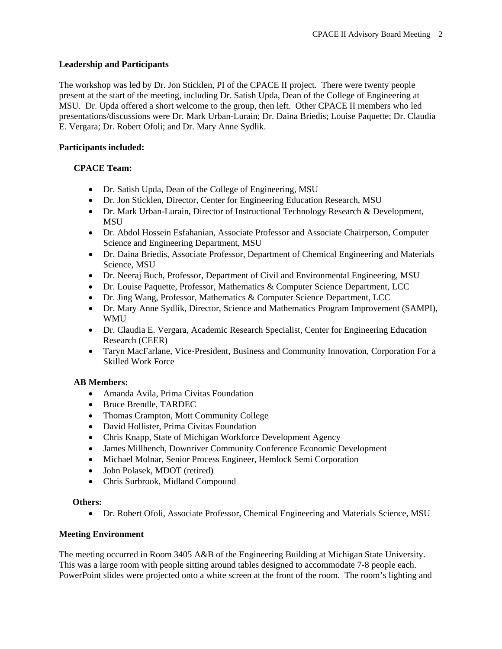## **Leadership and Participants**

The workshop was led by Dr. Jon Sticklen, PI of the CPACE II project. There were twenty people present at the start of the meeting, including Dr. Satish Upda, Dean of the College of Engineering at MSU. Dr. Upda offered a short welcome to the group, then left. Other CPACE II members who led presentations/discussions were Dr. Mark Urban-Lurain; Dr. Daina Briedis; Louise Paquette; Dr. Claudia E. Vergara; Dr. Robert Ofoli; and Dr. Mary Anne Sydlik.

### **Participants included:**

# **CPACE Team:**

- Dr. Satish Upda, Dean of the College of Engineering, MSU
- Dr. Jon Sticklen, Director, Center for Engineering Education Research, MSU
- Dr. Mark Urban-Lurain, Director of Instructional Technology Research & Development, MSU
- Dr. Abdol Hossein Esfahanian, Associate Professor and Associate Chairperson, Computer Science and Engineering Department, MSU
- Dr. Daina Briedis, Associate Professor, Department of Chemical Engineering and Materials Science, MSU
- Dr. Neeraj Buch, Professor, Department of Civil and Environmental Engineering, MSU
- Dr. Louise Paquette, Professor, Mathematics & Computer Science Department, LCC
- Dr. Jing Wang, Professor, Mathematics & Computer Science Department, LCC
- Dr. Mary Anne Sydlik, Director, Science and Mathematics Program Improvement (SAMPI), WMU
- Dr. Claudia E. Vergara, Academic Research Specialist, Center for Engineering Education Research (CEER)
- Taryn MacFarlane, Vice-President, Business and Community Innovation, Corporation For a Skilled Work Force

# **AB Members:**

- Amanda Avila, Prima Civitas Foundation
- Bruce Brendle, TARDEC
- Thomas Crampton, Mott Community College
- David Hollister, Prima Civitas Foundation
- Chris Knapp, State of Michigan Workforce Development Agency
- James Millhench, Downriver Community Conference Economic Development
- Michael Molnar, Senior Process Engineer, Hemlock Semi Corporation
- John Polasek, MDOT (retired)
- Chris Surbrook, Midland Compound

### **Others:**

Dr. Robert Ofoli, Associate Professor, Chemical Engineering and Materials Science, MSU

# **Meeting Environment**

The meeting occurred in Room 3405 A&B of the Engineering Building at Michigan State University. This was a large room with people sitting around tables designed to accommodate 7-8 people each. PowerPoint slides were projected onto a white screen at the front of the room. The room's lighting and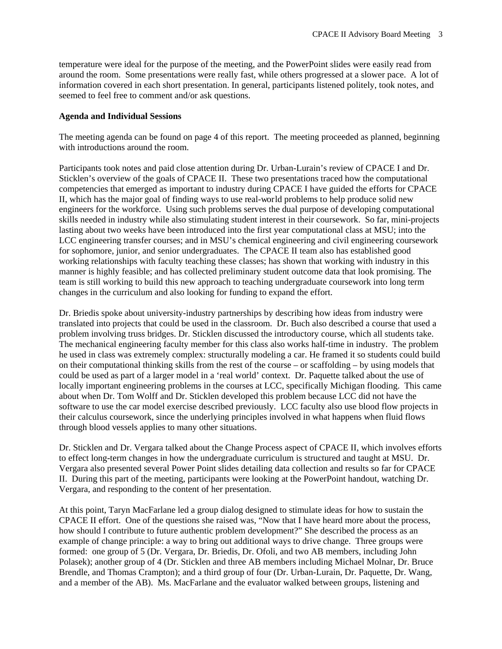temperature were ideal for the purpose of the meeting, and the PowerPoint slides were easily read from around the room. Some presentations were really fast, while others progressed at a slower pace. A lot of information covered in each short presentation. In general, participants listened politely, took notes, and seemed to feel free to comment and/or ask questions.

#### **Agenda and Individual Sessions**

The meeting agenda can be found on page 4 of this report. The meeting proceeded as planned, beginning with introductions around the room.

Participants took notes and paid close attention during Dr. Urban-Lurain's review of CPACE I and Dr. Sticklen's overview of the goals of CPACE II. These two presentations traced how the computational competencies that emerged as important to industry during CPACE I have guided the efforts for CPACE II, which has the major goal of finding ways to use real-world problems to help produce solid new engineers for the workforce. Using such problems serves the dual purpose of developing computational skills needed in industry while also stimulating student interest in their coursework. So far, mini-projects lasting about two weeks have been introduced into the first year computational class at MSU; into the LCC engineering transfer courses; and in MSU's chemical engineering and civil engineering coursework for sophomore, junior, and senior undergraduates. The CPACE II team also has established good working relationships with faculty teaching these classes; has shown that working with industry in this manner is highly feasible; and has collected preliminary student outcome data that look promising. The team is still working to build this new approach to teaching undergraduate coursework into long term changes in the curriculum and also looking for funding to expand the effort.

Dr. Briedis spoke about university-industry partnerships by describing how ideas from industry were translated into projects that could be used in the classroom. Dr. Buch also described a course that used a problem involving truss bridges. Dr. Sticklen discussed the introductory course, which all students take. The mechanical engineering faculty member for this class also works half-time in industry. The problem he used in class was extremely complex: structurally modeling a car. He framed it so students could build on their computational thinking skills from the rest of the course – or scaffolding – by using models that could be used as part of a larger model in a 'real world' context. Dr. Paquette talked about the use of locally important engineering problems in the courses at LCC, specifically Michigan flooding. This came about when Dr. Tom Wolff and Dr. Sticklen developed this problem because LCC did not have the software to use the car model exercise described previously. LCC faculty also use blood flow projects in their calculus coursework, since the underlying principles involved in what happens when fluid flows through blood vessels applies to many other situations.

Dr. Sticklen and Dr. Vergara talked about the Change Process aspect of CPACE II, which involves efforts to effect long-term changes in how the undergraduate curriculum is structured and taught at MSU. Dr. Vergara also presented several Power Point slides detailing data collection and results so far for CPACE II. During this part of the meeting, participants were looking at the PowerPoint handout, watching Dr. Vergara, and responding to the content of her presentation.

At this point, Taryn MacFarlane led a group dialog designed to stimulate ideas for how to sustain the CPACE II effort. One of the questions she raised was, "Now that I have heard more about the process, how should I contribute to future authentic problem development?" She described the process as an example of change principle: a way to bring out additional ways to drive change. Three groups were formed: one group of 5 (Dr. Vergara, Dr. Briedis, Dr. Ofoli, and two AB members, including John Polasek); another group of 4 (Dr. Sticklen and three AB members including Michael Molnar, Dr. Bruce Brendle, and Thomas Crampton); and a third group of four (Dr. Urban-Lurain, Dr. Paquette, Dr. Wang, and a member of the AB). Ms. MacFarlane and the evaluator walked between groups, listening and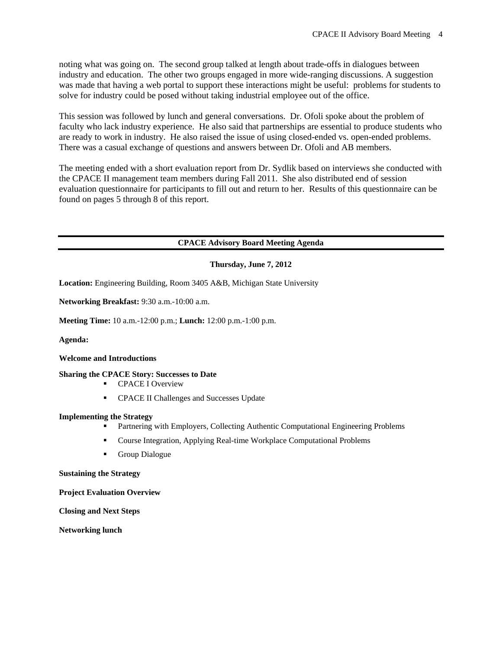noting what was going on. The second group talked at length about trade-offs in dialogues between industry and education. The other two groups engaged in more wide-ranging discussions. A suggestion was made that having a web portal to support these interactions might be useful: problems for students to solve for industry could be posed without taking industrial employee out of the office.

This session was followed by lunch and general conversations. Dr. Ofoli spoke about the problem of faculty who lack industry experience. He also said that partnerships are essential to produce students who are ready to work in industry. He also raised the issue of using closed-ended vs. open-ended problems. There was a casual exchange of questions and answers between Dr. Ofoli and AB members.

The meeting ended with a short evaluation report from Dr. Sydlik based on interviews she conducted with the CPACE II management team members during Fall 2011. She also distributed end of session evaluation questionnaire for participants to fill out and return to her. Results of this questionnaire can be found on pages 5 through 8 of this report.

### **CPACE Advisory Board Meeting Agenda**

#### **Thursday, June 7, 2012**

**Location:** Engineering Building, Room 3405 A&B, Michigan State University

**Networking Breakfast:** 9:30 a.m.-10:00 a.m.

**Meeting Time:** 10 a.m.-12:00 p.m.; **Lunch:** 12:00 p.m.-1:00 p.m.

**Agenda:** 

#### **Welcome and Introductions**

**Sharing the CPACE Story: Successes to Date** 

- **CPACE I Overview**
- **CPACE II Challenges and Successes Update**

#### **Implementing the Strategy**

- Partnering with Employers, Collecting Authentic Computational Engineering Problems
- Course Integration, Applying Real-time Workplace Computational Problems
- **Group Dialogue**

**Sustaining the Strategy** 

**Project Evaluation Overview**

**Closing and Next Steps**

**Networking lunch**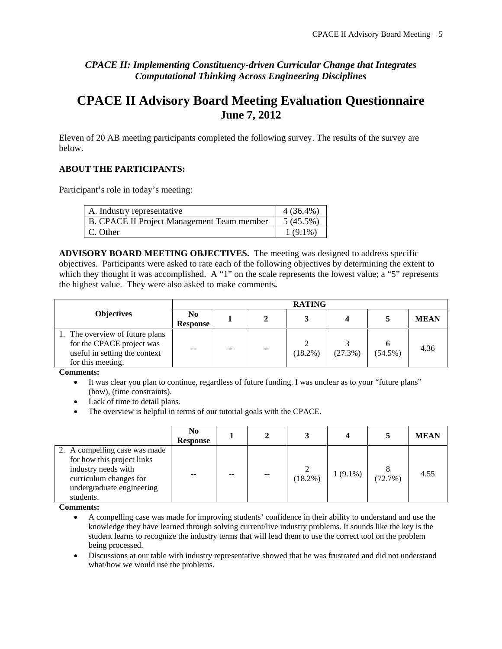# *CPACE II: Implementing Constituency-driven Curricular Change that Integrates Computational Thinking Across Engineering Disciplines*

# **CPACE II Advisory Board Meeting Evaluation Questionnaire June 7, 2012**

Eleven of 20 AB meeting participants completed the following survey. The results of the survey are below.

# **ABOUT THE PARTICIPANTS:**

Participant's role in today's meeting:

| A. Industry representative                 | $4(36.4\%)$ |
|--------------------------------------------|-------------|
| B. CPACE II Project Management Team member | $5(45.5\%)$ |
| C. Other                                   | $1(9.1\%)$  |

**ADVISORY BOARD MEETING OBJECTIVES.** The meeting was designed to address specific objectives. Participants were asked to rate each of the following objectives by determining the extent to which they thought it was accomplished. A "1" on the scale represents the lowest value; a "5" represents the highest value. They were also asked to make comments**.** 

|                                                                                                                    | <b>RATING</b>                     |    |       |            |         |            |             |  |
|--------------------------------------------------------------------------------------------------------------------|-----------------------------------|----|-------|------------|---------|------------|-------------|--|
| <b>Objectives</b>                                                                                                  | N <sub>0</sub><br><b>Response</b> |    |       |            |         |            | <b>MEAN</b> |  |
| 1. The overview of future plans<br>for the CPACE project was<br>useful in setting the context<br>for this meeting. | --                                | -- | $- -$ | $(18.2\%)$ | (27.3%) | $(54.5\%)$ | 4.36        |  |

**Comments:** 

 It was clear you plan to continue, regardless of future funding. I was unclear as to your "future plans" (how), (time constraints).

- Lack of time to detail plans.
- The overview is helpful in terms of our tutorial goals with the CPACE.

|                                                                                                                                                        | N <sub>0</sub><br><b>Response</b> |       |         |            |         | <b>MEAN</b> |
|--------------------------------------------------------------------------------------------------------------------------------------------------------|-----------------------------------|-------|---------|------------|---------|-------------|
| 2. A compelling case was made<br>for how this project links<br>industry needs with<br>curriculum changes for<br>undergraduate engineering<br>students. | --                                | $- -$ | (18.2%) | $1(9.1\%)$ | (72.7%) | 4.55        |

**Comments:** 

 A compelling case was made for improving students' confidence in their ability to understand and use the knowledge they have learned through solving current/live industry problems. It sounds like the key is the student learns to recognize the industry terms that will lead them to use the correct tool on the problem being processed.

 Discussions at our table with industry representative showed that he was frustrated and did not understand what/how we would use the problems.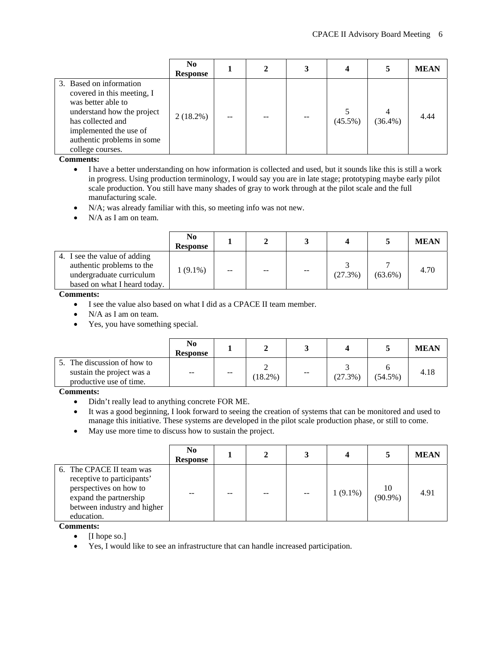|                                                                                                                                                                                                            | N <sub>0</sub><br><b>Response</b> |  |            | 5          | <b>MEAN</b> |
|------------------------------------------------------------------------------------------------------------------------------------------------------------------------------------------------------------|-----------------------------------|--|------------|------------|-------------|
| 3. Based on information<br>covered in this meeting, I<br>was better able to<br>understand how the project<br>has collected and<br>implemented the use of<br>authentic problems in some<br>college courses. | $2(18.2\%)$                       |  | $(45.5\%)$ | $(36.4\%)$ | 4.44        |

**Comments:** 

- I have a better understanding on how information is collected and used, but it sounds like this is still a work in progress. Using production terminology, I would say you are in late stage; prototyping maybe early pilot scale production. You still have many shades of gray to work through at the pilot scale and the full manufacturing scale.
- N/A; was already familiar with this, so meeting info was not new.
- N/A as I am on team.

|                                                                                                                       | N <sub>0</sub><br><b>Response</b> |    |                   |                          |         |            | <b>MEAN</b> |
|-----------------------------------------------------------------------------------------------------------------------|-----------------------------------|----|-------------------|--------------------------|---------|------------|-------------|
| 4. I see the value of adding<br>authentic problems to the<br>undergraduate curriculum<br>based on what I heard today. | $1(9.1\%)$                        | -- | $\qquad \qquad -$ | $\overline{\phantom{m}}$ | (27.3%) | $(63.6\%)$ | 4.70        |

**Comments:** 

I see the value also based on what I did as a CPACE II team member.

• N/A as I am on team.

Yes, you have something special.

|                                                                                     | No<br><b>Response</b> |               |            |       |         |            | <b>MEAN</b> |
|-------------------------------------------------------------------------------------|-----------------------|---------------|------------|-------|---------|------------|-------------|
| 5. The discussion of how to<br>sustain the project was a<br>productive use of time. | $- -$                 | $\sim$ $\sim$ | $(18.2\%)$ | $- -$ | (27.3%) | $(54.5\%)$ | 4.18        |

**Comments:** 

- Didn't really lead to anything concrete FOR ME.
- It was a good beginning, I look forward to seeing the creation of systems that can be monitored and used to manage this initiative. These systems are developed in the pilot scale production phase, or still to come.
- May use more time to discuss how to sustain the project.

|                                                                                                                                                         | N <sub>0</sub><br><b>Response</b> |    |            |                  | <b>MEAN</b> |
|---------------------------------------------------------------------------------------------------------------------------------------------------------|-----------------------------------|----|------------|------------------|-------------|
| 6. The CPACE II team was<br>receptive to participants'<br>perspectives on how to<br>expand the partnership<br>between industry and higher<br>education. |                                   | -- | $1(9.1\%)$ | 10<br>$(90.9\%)$ | 4.91        |

**Comments:** 

 $\bullet$  [I hope so.]

Yes, I would like to see an infrastructure that can handle increased participation.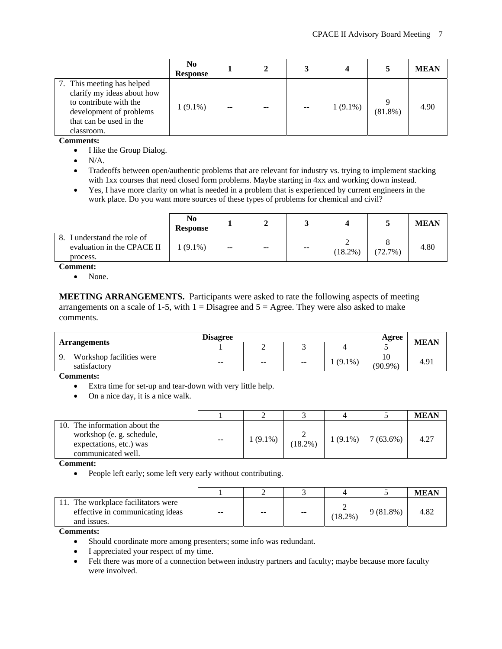|                                                                                                                                                        | N <sub>0</sub><br><b>Response</b> |    |  |            |            | <b>MEAN</b> |
|--------------------------------------------------------------------------------------------------------------------------------------------------------|-----------------------------------|----|--|------------|------------|-------------|
| 7. This meeting has helped<br>clarify my ideas about how<br>to contribute with the<br>development of problems<br>that can be used in the<br>classroom. | $1(9.1\%)$                        | -- |  | $1(9.1\%)$ | $(81.8\%)$ | 4.90        |

**Comments:** 

- I like the Group Dialog.
- $\bullet$  N/A.
- Tradeoffs between open/authentic problems that are relevant for industry vs. trying to implement stacking with 1xx courses that need closed form problems. Maybe starting in 4xx and working down instead.
- Yes, I have more clarity on what is needed in a problem that is experienced by current engineers in the work place. Do you want more sources of these types of problems for chemical and civil?

|                                                                          | N <sub>0</sub><br><b>Response</b> |       |      |      |            |         | <b>MEAN</b> |
|--------------------------------------------------------------------------|-----------------------------------|-------|------|------|------------|---------|-------------|
| I understand the role of<br>8.<br>evaluation in the CPACE II<br>process. | $(9.1\%)$                         | $- -$ | $ -$ | $ -$ | $(18.2\%)$ | (72.7%) | 4.80        |

**Comment:** 

• None.

**MEETING ARRANGEMENTS.** Participants were asked to rate the following aspects of meeting arrangements on a scale of 1-5, with  $1 =$  Disagree and  $5 =$  Agree. They were also asked to make comments.

|                                          | <b>Disagree</b>          | <b>MEAN</b>              |                          |           |            |      |
|------------------------------------------|--------------------------|--------------------------|--------------------------|-----------|------------|------|
| <b>Arrangements</b>                      |                          |                          |                          |           |            |      |
| Workshop facilities were<br>satisfactory | $\overline{\phantom{m}}$ | $\overline{\phantom{m}}$ | $\overline{\phantom{m}}$ | $(9.1\%)$ | $(90.9\%)$ | 4.91 |

**Comments:** 

- Extra time for set-up and tear-down with very little help.
- On a nice day, it is a nice walk.

|                                                                                                            |                          |            |            |            |             | <b>MEAN</b> |
|------------------------------------------------------------------------------------------------------------|--------------------------|------------|------------|------------|-------------|-------------|
| 10. The information about the<br>workshop (e.g. schedule,<br>expectations, etc.) was<br>communicated well. | $\overline{\phantom{a}}$ | $1(9.1\%)$ | $(18.2\%)$ | $1(9.1\%)$ | $7(63.6\%)$ | 4.27        |

**Comment:** 

People left early; some left very early without contributing.

|                                                                                    |       |     |                          |          |             | <b>MEAN</b> |
|------------------------------------------------------------------------------------|-------|-----|--------------------------|----------|-------------|-------------|
| The workplace facilitators were<br>effective in communicating ideas<br>and issues. | $- -$ | $-$ | $\overline{\phantom{m}}$ | $18.2\%$ | $9(81.8\%)$ | 4.82        |

**Comments:** 

- Should coordinate more among presenters; some info was redundant.
- I appreciated your respect of my time.
- Felt there was more of a connection between industry partners and faculty; maybe because more faculty were involved.